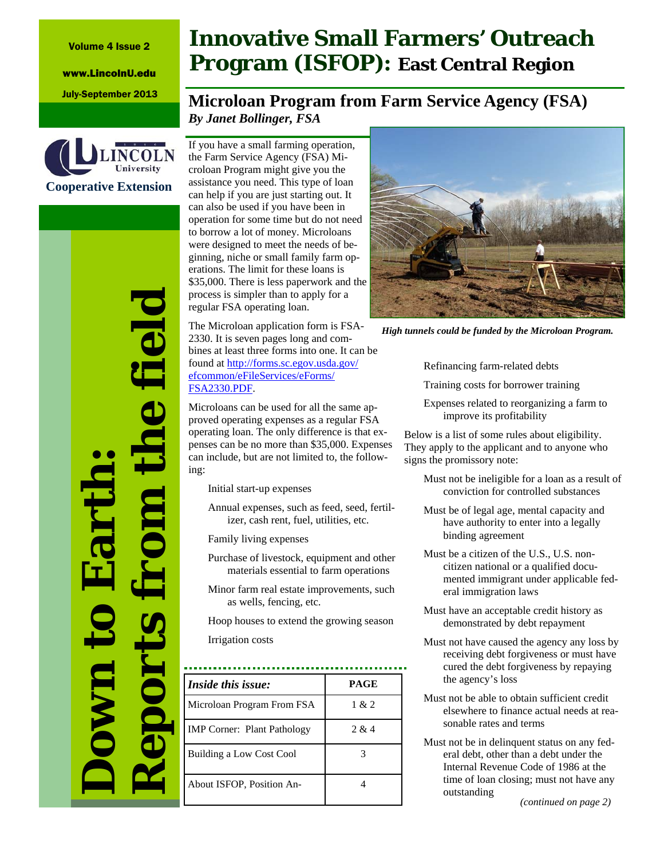Volume 4 Issue 2

www.LincolnU.edu



*Reports from the field*  he field **Down to Earth:**  Eart **IOOL** 

## **Innovative Small Farmers' Outreach Program (ISFOP): East Central Region**

## July-September 2013 **Microloan Program from Farm Service Agency (FSA)** *By Janet Bollinger, FSA*

If you have a small farming operation, the Farm Service Agency (FSA) Microloan Program might give you the assistance you need. This type of loan can help if you are just starting out. It can also be used if you have been in operation for some time but do not need to borrow a lot of money. Microloans were designed to meet the needs of beginning, niche or small family farm operations. The limit for these loans is \$35,000. There is less paperwork and the process is simpler than to apply for a regular FSA operating loan.

The Microloan application form is FSA-2330. It is seven pages long and combines at least three forms into one. It can be found at http://forms.sc.egov.usda.gov/ efcommon/eFileServices/eForms/ FSA2330.PDF.

Microloans can be used for all the same approved operating expenses as a regular FSA operating loan. The only difference is that expenses can be no more than \$35,000. Expenses can include, but are not limited to, the following:

Initial start-up expenses

Annual expenses, such as feed, seed, fertilizer, cash rent, fuel, utilities, etc.

Family living expenses

Purchase of livestock, equipment and other materials essential to farm operations

Minor farm real estate improvements, such as wells, fencing, etc.

Hoop houses to extend the growing season

Irrigation costs

| <i>Inside this issue:</i>          | PAGE  |
|------------------------------------|-------|
| Microloan Program From FSA         | 1 & 2 |
| <b>IMP Corner: Plant Pathology</b> | 2 & 4 |
| Building a Low Cost Cool           |       |
| About ISFOP, Position An-          |       |



*High tunnels could be funded by the Microloan Program.* 

Refinancing farm-related debts

Training costs for borrower training

Expenses related to reorganizing a farm to improve its profitability

Below is a list of some rules about eligibility. They apply to the applicant and to anyone who signs the promissory note:

- Must not be ineligible for a loan as a result of conviction for controlled substances
- Must be of legal age, mental capacity and have authority to enter into a legally binding agreement
- Must be a citizen of the U.S., U.S. noncitizen national or a qualified documented immigrant under applicable federal immigration laws
- Must have an acceptable credit history as demonstrated by debt repayment
- Must not have caused the agency any loss by receiving debt forgiveness or must have cured the debt forgiveness by repaying the agency's loss
- Must not be able to obtain sufficient credit elsewhere to finance actual needs at reasonable rates and terms
- Must not be in delinquent status on any federal debt, other than a debt under the Internal Revenue Code of 1986 at the time of loan closing; must not have any outstanding

*(continued on page 2)*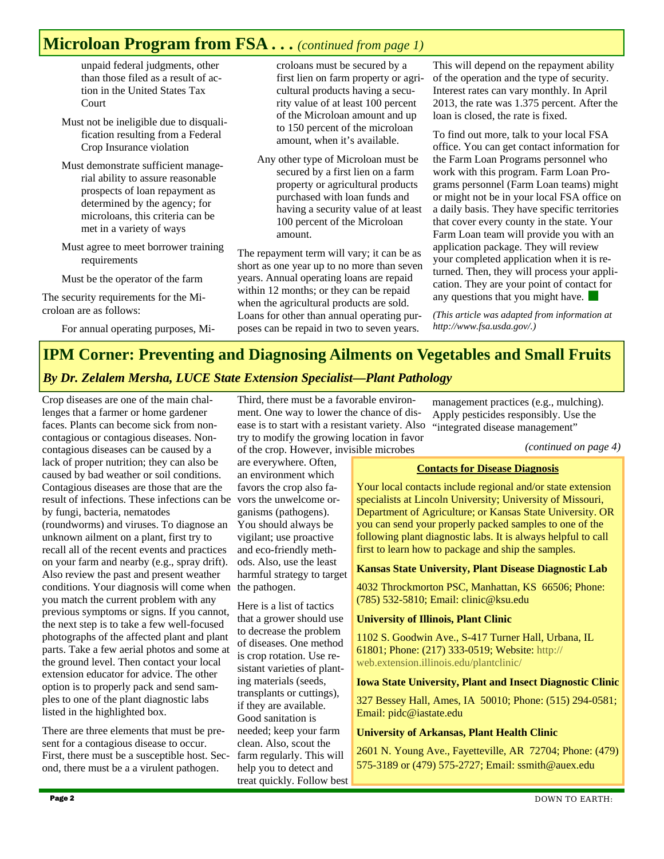## **Microloan Program from FSA . . .** *(continued from page 1)*

unpaid federal judgments, other than those filed as a result of action in the United States Tax Court

Must not be ineligible due to disqualification resulting from a Federal Crop Insurance violation

- Must demonstrate sufficient managerial ability to assure reasonable prospects of loan repayment as determined by the agency; for microloans, this criteria can be met in a variety of ways
- Must agree to meet borrower training requirements

Must be the operator of the farm

The security requirements for the Microloan are as follows:

For annual operating purposes, Mi-

croloans must be secured by a first lien on farm property or agricultural products having a security value of at least 100 percent of the Microloan amount and up to 150 percent of the microloan amount, when it's available.

Any other type of Microloan must be secured by a first lien on a farm property or agricultural products purchased with loan funds and having a security value of at least 100 percent of the Microloan amount.

The repayment term will vary; it can be as short as one year up to no more than seven years. Annual operating loans are repaid within 12 months; or they can be repaid when the agricultural products are sold. Loans for other than annual operating purposes can be repaid in two to seven years.

This will depend on the repayment ability of the operation and the type of security. Interest rates can vary monthly. In April 2013, the rate was 1.375 percent. After the loan is closed, the rate is fixed.

To find out more, talk to your local FSA office. You can get contact information for the Farm Loan Programs personnel who work with this program. Farm Loan Programs personnel (Farm Loan teams) might or might not be in your local FSA office on a daily basis. They have specific territories that cover every county in the state. Your Farm Loan team will provide you with an application package. They will review your completed application when it is returned. Then, they will process your application. They are your point of contact for any questions that you might have.

*(This article was adapted from information at http://www.fsa.usda.gov/.)* 

## **IPM Corner: Preventing and Diagnosing Ailments on Vegetables and Small Fruits**

## *By Dr. Zelalem Mersha, LUCE State Extension Specialist—Plant Pathology*

Crop diseases are one of the main challenges that a farmer or home gardener faces. Plants can become sick from noncontagious or contagious diseases. Noncontagious diseases can be caused by a lack of proper nutrition; they can also be caused by bad weather or soil conditions. Contagious diseases are those that are the result of infections. These infections can be by fungi, bacteria, nematodes (roundworms) and viruses. To diagnose an unknown ailment on a plant, first try to recall all of the recent events and practices on your farm and nearby (e.g., spray drift). Also review the past and present weather conditions. Your diagnosis will come when the pathogen. you match the current problem with any previous symptoms or signs. If you cannot, the next step is to take a few well-focused photographs of the affected plant and plant parts. Take a few aerial photos and some at the ground level. Then contact your local extension educator for advice. The other option is to properly pack and send samples to one of the plant diagnostic labs listed in the highlighted box.

There are three elements that must be present for a contagious disease to occur. First, there must be a susceptible host. Second, there must be a a virulent pathogen.

Third, there must be a favorable environment. One way to lower the chance of disease is to start with a resistant variety. Also try to modify the growing location in favor of the crop. However, invisible microbes

are everywhere. Often, an environment which favors the crop also favors the unwelcome organisms (pathogens). You should always be vigilant; use proactive and eco-friendly methods. Also, use the least harmful strategy to target

Here is a list of tactics that a grower should use to decrease the problem of diseases. One method is crop rotation. Use resistant varieties of planting materials (seeds, transplants or cuttings), if they are available. Good sanitation is needed; keep your farm clean. Also, scout the farm regularly. This will help you to detect and treat quickly. Follow best

management practices (e.g., mulching). Apply pesticides responsibly. Use the "integrated disease management"

*(continued on page 4)* 

## **Contacts for Disease Diagnosis**

Your local contacts include regional and/or state extension specialists at Lincoln University; University of Missouri, Department of Agriculture; or Kansas State University. OR you can send your properly packed samples to one of the following plant diagnostic labs. It is always helpful to call first to learn how to package and ship the samples.

## **Kansas State University, Plant Disease Diagnostic Lab**

4032 Throckmorton PSC, Manhattan, KS 66506; Phone: (785) 532-5810; Email: clinic@ksu.edu

## **University of Illinois, Plant Clinic**

1102 S. Goodwin Ave., S-417 Turner Hall, Urbana, IL 61801; Phone: (217) 333-0519; Website: http:// web.extension.illinois.edu/plantclinic/

#### **Iowa State University, Plant and Insect Diagnostic Clinic**

327 Bessey Hall, Ames, IA 50010; Phone: (515) 294-0581; Email: pidc@iastate.edu

## **University of Arkansas, Plant Health Clinic**

2601 N. Young Ave., Fayetteville, AR 72704; Phone: (479) 575-3189 or (479) 575-2727; Email: ssmith@auex.edu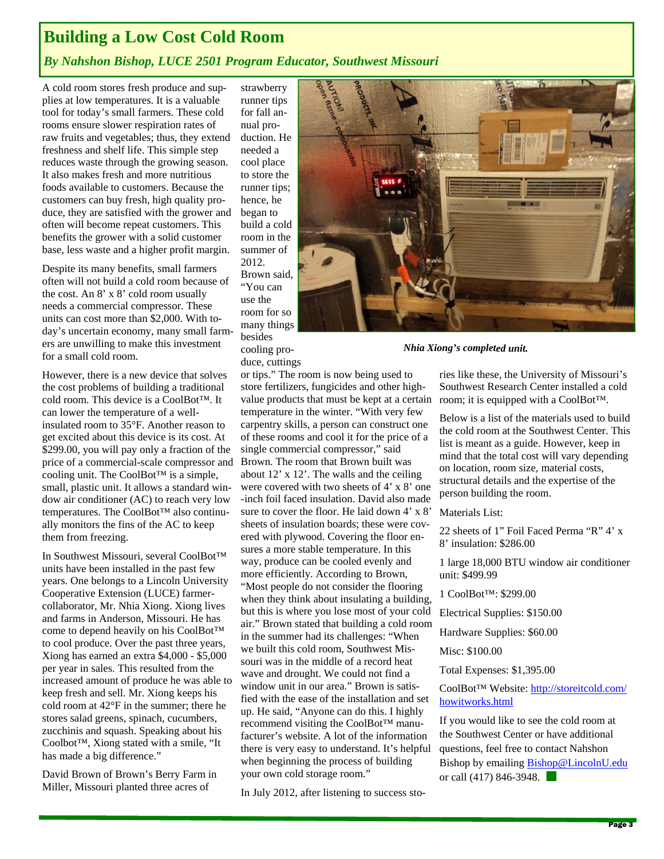## **Building a Low Cost Cold Room**

## *By Nahshon Bishop, LUCE 2501 Program Educator, Southwest Missouri*

A cold room stores fresh produce and supplies at low temperatures. It is a valuable tool for today's small farmers. These cold rooms ensure slower respiration rates of raw fruits and vegetables; thus, they extend freshness and shelf life. This simple step reduces waste through the growing season. It also makes fresh and more nutritious foods available to customers. Because the customers can buy fresh, high quality produce, they are satisfied with the grower and often will become repeat customers. This benefits the grower with a solid customer base, less waste and a higher profit margin.

Despite its many benefits, small farmers often will not build a cold room because of the cost. An 8' x 8' cold room usually needs a commercial compressor. These units can cost more than \$2,000. With today's uncertain economy, many small farmers are unwilling to make this investment for a small cold room.

However, there is a new device that solves the cost problems of building a traditional cold room. This device is a CoolBot™. It can lower the temperature of a wellinsulated room to 35°F. Another reason to get excited about this device is its cost. At \$299.00, you will pay only a fraction of the price of a commercial-scale compressor and cooling unit. The CoolBot™ is a simple, small, plastic unit. It allows a standard window air conditioner (AC) to reach very low temperatures. The CoolBot™ also continually monitors the fins of the AC to keep them from freezing.

In Southwest Missouri, several CoolBot™ units have been installed in the past few years. One belongs to a Lincoln University Cooperative Extension (LUCE) farmercollaborator, Mr. Nhia Xiong. Xiong lives and farms in Anderson, Missouri. He has come to depend heavily on his CoolBot™ to cool produce. Over the past three years, Xiong has earned an extra \$4,000 - \$5,000 per year in sales. This resulted from the increased amount of produce he was able to keep fresh and sell. Mr. Xiong keeps his cold room at 42°F in the summer; there he stores salad greens, spinach, cucumbers, zucchinis and squash. Speaking about his Coolbot™, Xiong stated with a smile, "It has made a big difference."

David Brown of Brown's Berry Farm in Miller, Missouri planted three acres of

strawberry runner tips for fall annual production. He needed a cool place to store the runner tips; hence, he began to build a cold room in the summer of 2012. Brown said, "You can

use the room for so many things besides cooling produce, cuttings

or tips." The room is now being used to store fertilizers, fungicides and other highvalue products that must be kept at a certain temperature in the winter. "With very few carpentry skills, a person can construct one of these rooms and cool it for the price of a single commercial compressor," said Brown. The room that Brown built was about 12' x 12'. The walls and the ceiling were covered with two sheets of 4' x 8' one -inch foil faced insulation. David also made sure to cover the floor. He laid down 4' x 8' sheets of insulation boards; these were covered with plywood. Covering the floor ensures a more stable temperature. In this way, produce can be cooled evenly and more efficiently. According to Brown, "Most people do not consider the flooring when they think about insulating a building, but this is where you lose most of your cold air." Brown stated that building a cold room in the summer had its challenges: "When we built this cold room, Southwest Missouri was in the middle of a record heat wave and drought. We could not find a window unit in our area." Brown is satisfied with the ease of the installation and set up. He said, "Anyone can do this. I highly recommend visiting the CoolBot™ manufacturer's website. A lot of the information there is very easy to understand. It's helpful when beginning the process of building



*Nhia Xiong's completed unit.*

ries like these, the University of Missouri's Southwest Research Center installed a cold room; it is equipped with a CoolBot™.

Below is a list of the materials used to build the cold room at the Southwest Center. This list is meant as a guide. However, keep in mind that the total cost will vary depending on location, room size, material costs, structural details and the expertise of the person building the room.

Materials List:

22 sheets of 1" Foil Faced Perma "R" 4' x 8' insulation: \$286.00

1 large 18,000 BTU window air conditioner unit: \$499.99

1 CoolBot™: \$299.00

Electrical Supplies: \$150.00

Hardware Supplies: \$60.00

Misc: \$100.00

Total Expenses: \$1,395.00

CoolBot™ Website: http://storeitcold.com/ howitworks.html

If you would like to see the cold room at the Southwest Center or have additional questions, feel free to contact Nahshon Bishop by emailing Bishop@LincolnU.edu or call (417) 846-3948.

In July 2012, after listening to success sto-

your own cold storage room."